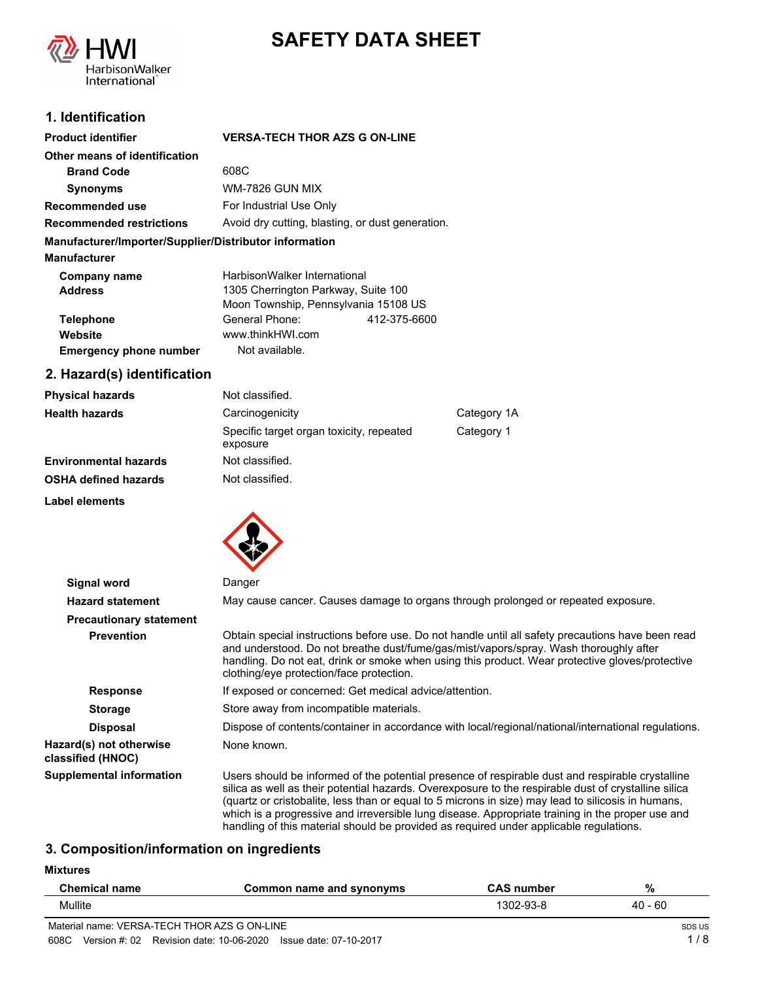

# **SAFETY DATA SHEET**

# **1. Identification**

| <b>Product identifier</b>                              | <b>VERSA-TECH THOR AZS G ON-LINE</b>             |              |
|--------------------------------------------------------|--------------------------------------------------|--------------|
| Other means of identification                          |                                                  |              |
| <b>Brand Code</b>                                      | 608C                                             |              |
| <b>Synonyms</b>                                        | WM-7826 GUN MIX                                  |              |
| Recommended use                                        | For Industrial Use Only                          |              |
| <b>Recommended restrictions</b>                        | Avoid dry cutting, blasting, or dust generation. |              |
| Manufacturer/Importer/Supplier/Distributor information |                                                  |              |
| <b>Manufacturer</b>                                    |                                                  |              |
| Company name                                           | HarbisonWalker International                     |              |
| <b>Address</b>                                         | 1305 Cherrington Parkway, Suite 100              |              |
|                                                        | Moon Township, Pennsylvania 15108 US             |              |
| <b>Telephone</b>                                       | General Phone:                                   | 412-375-6600 |
| Website                                                | www.thinkHWI.com                                 |              |
| <b>Emergency phone number</b>                          | Not available.                                   |              |

### **2. Hazard(s) identification**

| <b>Physical hazards</b>      | Not classified.                                      |             |
|------------------------------|------------------------------------------------------|-------------|
| <b>Health hazards</b>        | Carcinogenicity                                      | Category 1A |
|                              | Specific target organ toxicity, repeated<br>exposure | Category 1  |
| <b>Environmental hazards</b> | Not classified.                                      |             |
| <b>OSHA defined hazards</b>  | Not classified.                                      |             |

**Label elements**



| <b>Signal word</b>                           | Danger                                                                                                                                                                                                                                                                                                                                                                                                             |
|----------------------------------------------|--------------------------------------------------------------------------------------------------------------------------------------------------------------------------------------------------------------------------------------------------------------------------------------------------------------------------------------------------------------------------------------------------------------------|
| <b>Hazard statement</b>                      | May cause cancer. Causes damage to organs through prolonged or repeated exposure.                                                                                                                                                                                                                                                                                                                                  |
| <b>Precautionary statement</b>               |                                                                                                                                                                                                                                                                                                                                                                                                                    |
| <b>Prevention</b>                            | Obtain special instructions before use. Do not handle until all safety precautions have been read<br>and understood. Do not breathe dust/fume/gas/mist/vapors/spray. Wash thoroughly after<br>handling. Do not eat, drink or smoke when using this product. Wear protective gloves/protective<br>clothing/eye protection/face protection.                                                                          |
| <b>Response</b>                              | If exposed or concerned: Get medical advice/attention.                                                                                                                                                                                                                                                                                                                                                             |
| <b>Storage</b>                               | Store away from incompatible materials.                                                                                                                                                                                                                                                                                                                                                                            |
| <b>Disposal</b>                              | Dispose of contents/container in accordance with local/regional/national/international regulations.                                                                                                                                                                                                                                                                                                                |
| Hazard(s) not otherwise<br>classified (HNOC) | None known.                                                                                                                                                                                                                                                                                                                                                                                                        |
| <b>Supplemental information</b>              | Users should be informed of the potential presence of respirable dust and respirable crystalline<br>silica as well as their potential hazards. Overexposure to the respirable dust of crystalline silica<br>(quartz or cristobalite, less than or equal to 5 microns in size) may lead to silicosis in humans,<br>which is a progressive and irreversible lung disease. Appropriate training in the proper use and |

## **3. Composition/information on ingredients**

**Mixtures**

| <b>Chemical name</b>                         | Common name and synonyms | <b>CAS</b> number | %         |
|----------------------------------------------|--------------------------|-------------------|-----------|
| Mullite                                      |                          | 1302-93-8         | $40 - 60$ |
| Material name: VERSA-TECH THOR AZS G ON-LINE |                          |                   | SDS US    |

handling of this material should be provided as required under applicable regulations.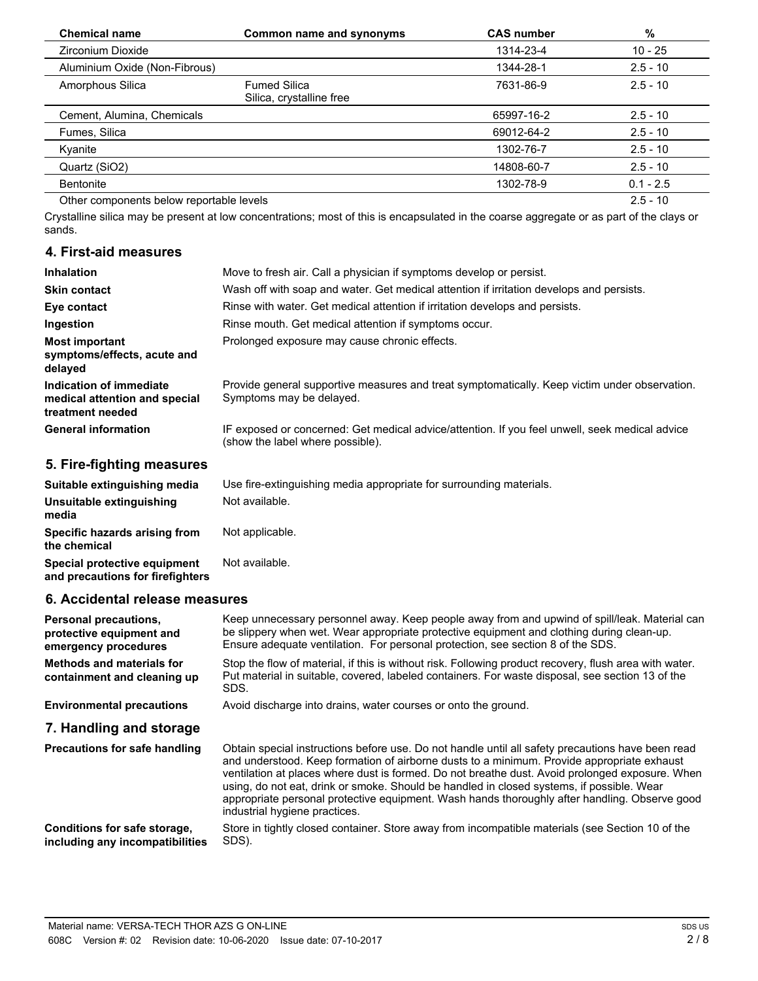| <b>Chemical name</b>                     | Common name and synonyms                        | <b>CAS number</b> | %           |
|------------------------------------------|-------------------------------------------------|-------------------|-------------|
| Zirconium Dioxide                        |                                                 | 1314-23-4         | $10 - 25$   |
| Aluminium Oxide (Non-Fibrous)            |                                                 | 1344-28-1         | $2.5 - 10$  |
| Amorphous Silica                         | <b>Fumed Silica</b><br>Silica, crystalline free | 7631-86-9         | $2.5 - 10$  |
| Cement, Alumina, Chemicals               |                                                 | 65997-16-2        | $2.5 - 10$  |
| Fumes, Silica                            |                                                 | 69012-64-2        | $2.5 - 10$  |
| Kyanite                                  |                                                 | 1302-76-7         | $2.5 - 10$  |
| Quartz (SiO2)                            |                                                 | 14808-60-7        | $2.5 - 10$  |
| <b>Bentonite</b>                         |                                                 | 1302-78-9         | $0.1 - 2.5$ |
| Other components below reportable levels |                                                 |                   | $2.5 - 10$  |

Crystalline silica may be present at low concentrations; most of this is encapsulated in the coarse aggregate or as part of the clays or sands.

## **4. First-aid measures**

| <b>Inhalation</b>                                                            | Move to fresh air. Call a physician if symptoms develop or persist.                                                                |
|------------------------------------------------------------------------------|------------------------------------------------------------------------------------------------------------------------------------|
| <b>Skin contact</b>                                                          | Wash off with soap and water. Get medical attention if irritation develops and persists.                                           |
| Eye contact                                                                  | Rinse with water. Get medical attention if irritation develops and persists.                                                       |
| Ingestion                                                                    | Rinse mouth. Get medical attention if symptoms occur.                                                                              |
| <b>Most important</b><br>symptoms/effects, acute and<br>delayed              | Prolonged exposure may cause chronic effects.                                                                                      |
| Indication of immediate<br>medical attention and special<br>treatment needed | Provide general supportive measures and treat symptomatically. Keep victim under observation.<br>Symptoms may be delayed.          |
| <b>General information</b>                                                   | IF exposed or concerned: Get medical advice/attention. If you feel unwell, seek medical advice<br>(show the label where possible). |
|                                                                              |                                                                                                                                    |

## **5. Fire-fighting measures**

| Suitable extinguishing media                                     | Use fire-extinguishing media appropriate for surrounding materials. |
|------------------------------------------------------------------|---------------------------------------------------------------------|
| Unsuitable extinguishing<br>media                                | Not available.                                                      |
| Specific hazards arising from<br>the chemical                    | Not applicable.                                                     |
| Special protective equipment<br>and precautions for firefighters | Not available.                                                      |

#### **6. Accidental release measures**

| <b>Personal precautions,</b><br>protective equipment and<br>emergency procedures | Keep unnecessary personnel away. Keep people away from and upwind of spill/leak. Material can<br>be slippery when wet. Wear appropriate protective equipment and clothing during clean-up.<br>Ensure adequate ventilation. For personal protection, see section 8 of the SDS.                                                                                                                                                                                                                                                     |
|----------------------------------------------------------------------------------|-----------------------------------------------------------------------------------------------------------------------------------------------------------------------------------------------------------------------------------------------------------------------------------------------------------------------------------------------------------------------------------------------------------------------------------------------------------------------------------------------------------------------------------|
| <b>Methods and materials for</b><br>containment and cleaning up                  | Stop the flow of material, if this is without risk. Following product recovery, flush area with water.<br>Put material in suitable, covered, labeled containers. For waste disposal, see section 13 of the<br>SDS.                                                                                                                                                                                                                                                                                                                |
| <b>Environmental precautions</b>                                                 | Avoid discharge into drains, water courses or onto the ground.                                                                                                                                                                                                                                                                                                                                                                                                                                                                    |
| 7. Handling and storage                                                          |                                                                                                                                                                                                                                                                                                                                                                                                                                                                                                                                   |
| <b>Precautions for safe handling</b>                                             | Obtain special instructions before use. Do not handle until all safety precautions have been read<br>and understood. Keep formation of airborne dusts to a minimum. Provide appropriate exhaust<br>ventilation at places where dust is formed. Do not breathe dust. Avoid prolonged exposure. When<br>using, do not eat, drink or smoke. Should be handled in closed systems, if possible. Wear<br>appropriate personal protective equipment. Wash hands thoroughly after handling. Observe good<br>industrial hygiene practices. |
| Conditions for safe storage,<br>including any incompatibilities                  | Store in tightly closed container. Store away from incompatible materials (see Section 10 of the<br>SDS).                                                                                                                                                                                                                                                                                                                                                                                                                         |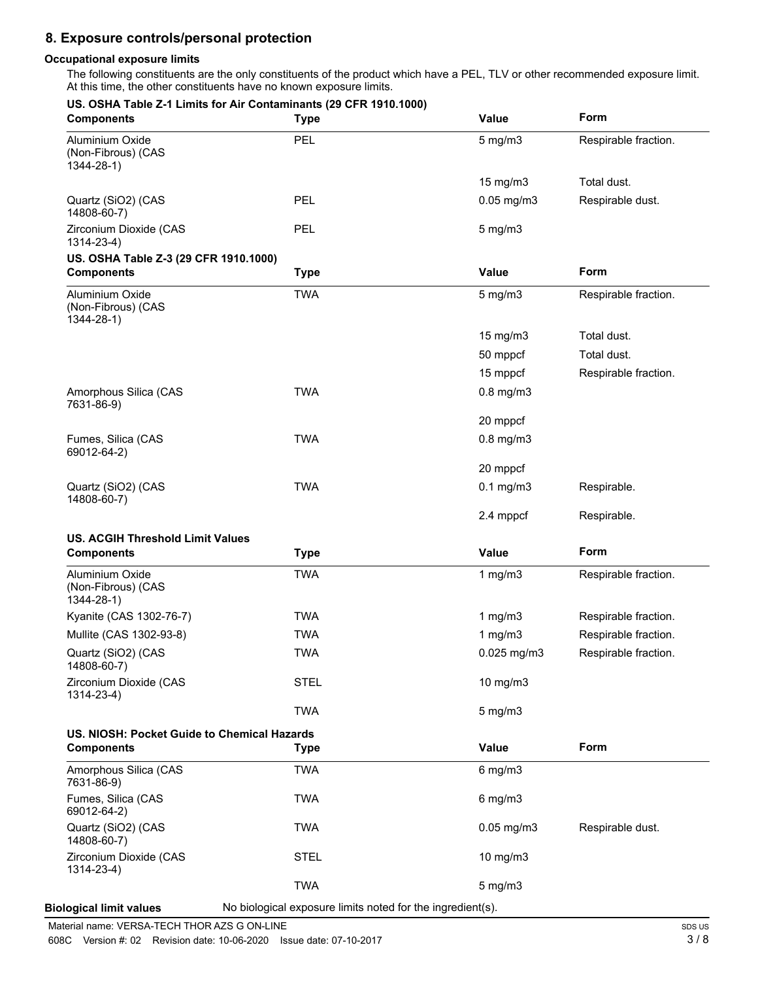## **8. Exposure controls/personal protection**

#### **Occupational exposure limits**

The following constituents are the only constituents of the product which have a PEL, TLV or other recommended exposure limit. At this time, the other constituents have no known exposure limits.

| <b>Components</b>                                          | <b>Type</b> | Value            | Form                 |
|------------------------------------------------------------|-------------|------------------|----------------------|
| Aluminium Oxide<br>(Non-Fibrous) (CAS<br>$1344 - 28 - 1$   | <b>PEL</b>  | $5$ mg/m $3$     | Respirable fraction. |
|                                                            |             | 15 mg/m3         | Total dust.          |
| Quartz (SiO2) (CAS<br>14808-60-7)                          | PEL         | $0.05$ mg/m $3$  | Respirable dust.     |
| Zirconium Dioxide (CAS<br>$1314 - 23 - 4$                  | <b>PEL</b>  | $5$ mg/m $3$     |                      |
| US. OSHA Table Z-3 (29 CFR 1910.1000)<br><b>Components</b> | <b>Type</b> | Value            | Form                 |
| Aluminium Oxide<br>(Non-Fibrous) (CAS<br>$1344 - 28 - 1$   | <b>TWA</b>  | $5$ mg/m $3$     | Respirable fraction. |
|                                                            |             | 15 mg/m3         | Total dust.          |
|                                                            |             | 50 mppcf         | Total dust.          |
|                                                            |             | 15 mppcf         | Respirable fraction. |
| Amorphous Silica (CAS<br>7631-86-9)                        | <b>TWA</b>  | $0.8$ mg/m $3$   |                      |
|                                                            |             | 20 mppcf         |                      |
| Fumes, Silica (CAS<br>69012-64-2)                          | <b>TWA</b>  | $0.8$ mg/m $3$   |                      |
|                                                            |             | 20 mppcf         |                      |
| Quartz (SiO2) (CAS<br>14808-60-7)                          | <b>TWA</b>  | $0.1$ mg/m $3$   | Respirable.          |
|                                                            |             | 2.4 mppcf        | Respirable.          |
| <b>US. ACGIH Threshold Limit Values</b>                    |             |                  |                      |
| <b>Components</b>                                          | <b>Type</b> | <b>Value</b>     | Form                 |
| Aluminium Oxide<br>(Non-Fibrous) (CAS<br>$1344 - 28 - 1$   | <b>TWA</b>  | 1 $mg/m3$        | Respirable fraction. |
| Kyanite (CAS 1302-76-7)                                    | <b>TWA</b>  | 1 mg/m $3$       | Respirable fraction. |
| Mullite (CAS 1302-93-8)                                    | <b>TWA</b>  | 1 $mg/m3$        | Respirable fraction. |
| Quartz (SiO2) (CAS<br>14808-60-7)                          | <b>TWA</b>  | 0.025 mg/m3      | Respirable fraction. |
| Zirconium Dioxide (CAS<br>$1314 - 23 - 4$                  | <b>STEL</b> | 10 mg/m3         |                      |
|                                                            | <b>TWA</b>  | $5 \text{ mg/m}$ |                      |
| US. NIOSH: Pocket Guide to Chemical Hazards                |             |                  |                      |
| <b>Components</b>                                          | <b>Type</b> | Value            | Form                 |
| Amorphous Silica (CAS<br>7631-86-9)                        | <b>TWA</b>  | $6$ mg/m $3$     |                      |
| Fumes, Silica (CAS<br>69012-64-2)                          | <b>TWA</b>  | $6$ mg/m $3$     |                      |
| Quartz (SiO2) (CAS<br>14808-60-7)                          | <b>TWA</b>  | $0.05$ mg/m $3$  | Respirable dust.     |
| Zirconium Dioxide (CAS<br>$1314 - 23 - 4$ )                | <b>STEL</b> | 10 mg/m3         |                      |
|                                                            |             |                  |                      |
|                                                            | <b>TWA</b>  | $5$ mg/m $3$     |                      |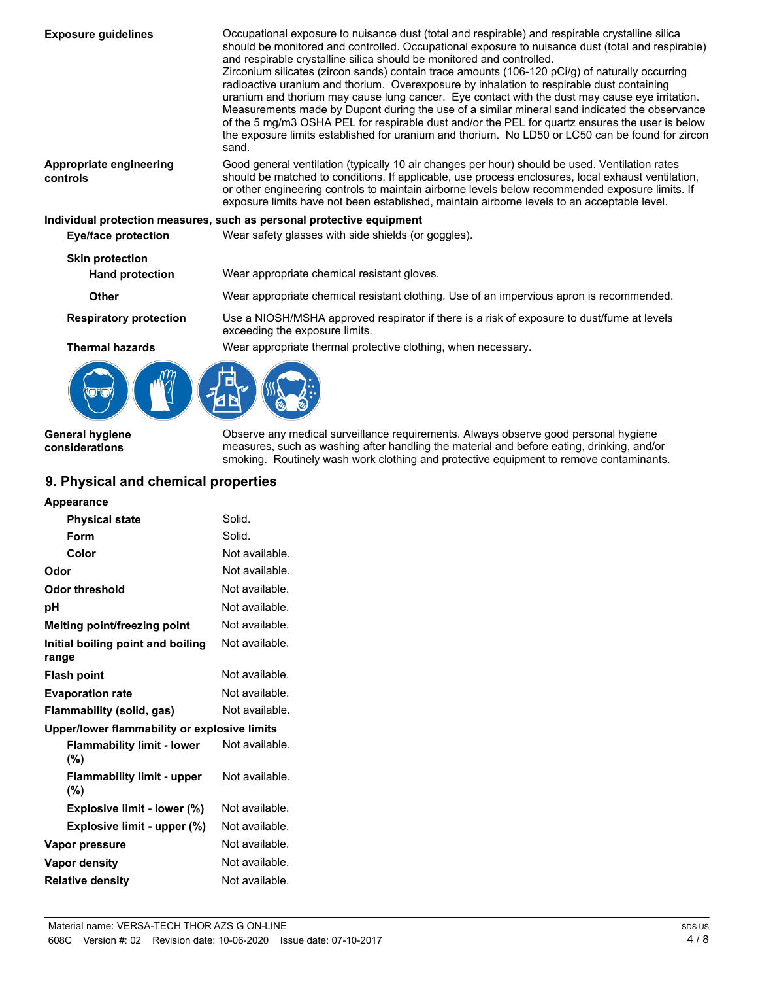| <b>Exposure guidelines</b>          | Occupational exposure to nuisance dust (total and respirable) and respirable crystalline silica<br>should be monitored and controlled. Occupational exposure to nuisance dust (total and respirable)<br>and respirable crystalline silica should be monitored and controlled.<br>Zirconium silicates (zircon sands) contain trace amounts (106-120 pCi/g) of naturally occurring<br>radioactive uranium and thorium. Overexposure by inhalation to respirable dust containing<br>uranium and thorium may cause lung cancer. Eye contact with the dust may cause eye irritation.<br>Measurements made by Dupont during the use of a similar mineral sand indicated the observance<br>of the 5 mg/m3 OSHA PEL for respirable dust and/or the PEL for quartz ensures the user is below<br>the exposure limits established for uranium and thorium. No LD50 or LC50 can be found for zircon<br>sand. |
|-------------------------------------|--------------------------------------------------------------------------------------------------------------------------------------------------------------------------------------------------------------------------------------------------------------------------------------------------------------------------------------------------------------------------------------------------------------------------------------------------------------------------------------------------------------------------------------------------------------------------------------------------------------------------------------------------------------------------------------------------------------------------------------------------------------------------------------------------------------------------------------------------------------------------------------------------|
| Appropriate engineering<br>controls | Good general ventilation (typically 10 air changes per hour) should be used. Ventilation rates<br>should be matched to conditions. If applicable, use process enclosures, local exhaust ventilation,<br>or other engineering controls to maintain airborne levels below recommended exposure limits. If<br>exposure limits have not been established, maintain airborne levels to an acceptable level.                                                                                                                                                                                                                                                                                                                                                                                                                                                                                           |
|                                     | Individual protection measures, such as personal protective equipment                                                                                                                                                                                                                                                                                                                                                                                                                                                                                                                                                                                                                                                                                                                                                                                                                            |
| Eye/face protection                 | Wear safety glasses with side shields (or goggles).                                                                                                                                                                                                                                                                                                                                                                                                                                                                                                                                                                                                                                                                                                                                                                                                                                              |
| <b>Skin protection</b>              |                                                                                                                                                                                                                                                                                                                                                                                                                                                                                                                                                                                                                                                                                                                                                                                                                                                                                                  |
| <b>Hand protection</b>              | Wear appropriate chemical resistant gloves.                                                                                                                                                                                                                                                                                                                                                                                                                                                                                                                                                                                                                                                                                                                                                                                                                                                      |
| <b>Other</b>                        | Wear appropriate chemical resistant clothing. Use of an impervious apron is recommended.                                                                                                                                                                                                                                                                                                                                                                                                                                                                                                                                                                                                                                                                                                                                                                                                         |
| <b>Respiratory protection</b>       | Use a NIOSH/MSHA approved respirator if there is a risk of exposure to dust/fume at levels<br>exceeding the exposure limits.                                                                                                                                                                                                                                                                                                                                                                                                                                                                                                                                                                                                                                                                                                                                                                     |
| <b>Thermal hazards</b>              | Wear appropriate thermal protective clothing, when necessary.                                                                                                                                                                                                                                                                                                                                                                                                                                                                                                                                                                                                                                                                                                                                                                                                                                    |
|                                     |                                                                                                                                                                                                                                                                                                                                                                                                                                                                                                                                                                                                                                                                                                                                                                                                                                                                                                  |
|                                     | المنط امعهمومع اممموا ومسموله المستحدث المستحدث والمسمع ومعاطا المنسبيم                                                                                                                                                                                                                                                                                                                                                                                                                                                                                                                                                                                                                                                                                                                                                                                                                          |

**General hygiene considerations**

Observe any medical surveillance requirements. Always observe good personal hygiene measures, such as washing after handling the material and before eating, drinking, and/or smoking. Routinely wash work clothing and protective equipment to remove contaminants.

# **9. Physical and chemical properties**

| <b>Appearance</b>                            |                |
|----------------------------------------------|----------------|
| <b>Physical state</b>                        | Solid.         |
| Form                                         | Solid.         |
| Color                                        | Not available. |
| Odor                                         | Not available. |
| Odor threshold                               | Not available. |
| рH                                           | Not available. |
| Melting point/freezing point                 | Not available. |
| Initial boiling point and boiling<br>range   | Not available. |
| <b>Flash point</b>                           | Not available. |
| <b>Evaporation rate</b>                      | Not available. |
| Flammability (solid, gas)                    | Not available. |
| Upper/lower flammability or explosive limits |                |
| <b>Flammability limit - lower</b><br>$(\%)$  | Not available. |
| <b>Flammability limit - upper</b><br>(%)     | Not available. |
| Explosive limit - lower (%)                  | Not available. |
| Explosive limit - upper (%)                  | Not available. |
| Vapor pressure                               | Not available. |
| Vapor density                                | Not available. |
| <b>Relative density</b>                      | Not available. |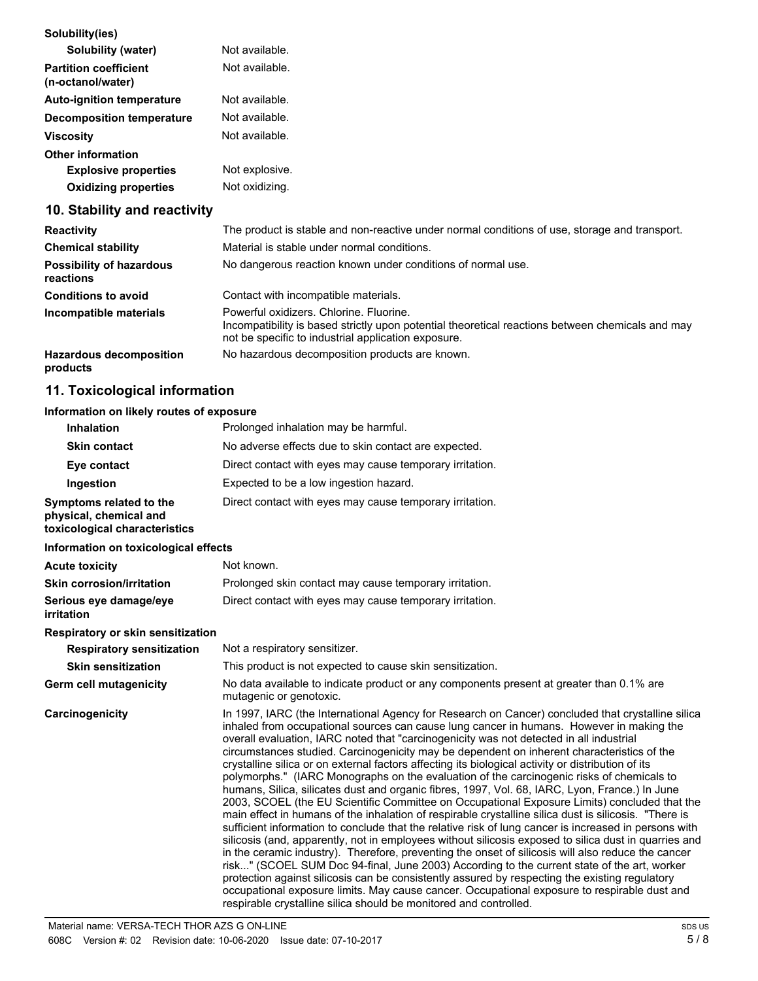| Solubility(ies)                                   |                                                                                            |
|---------------------------------------------------|--------------------------------------------------------------------------------------------|
| Solubility (water)                                | Not available.                                                                             |
| <b>Partition coefficient</b><br>(n-octanol/water) | Not available.                                                                             |
| <b>Auto-ignition temperature</b>                  | Not available.                                                                             |
| <b>Decomposition temperature</b>                  | Not available.                                                                             |
| <b>Viscosity</b>                                  | Not available.                                                                             |
| <b>Other information</b>                          |                                                                                            |
| <b>Explosive properties</b>                       | Not explosive.                                                                             |
| <b>Oxidizing properties</b>                       | Not oxidizing.                                                                             |
| 10. Stability and reactivity                      |                                                                                            |
| <b>Reactivity</b>                                 | The product is stable and non-reactive under normal conditions of use, storage and transpo |

| <b>Reactivity</b>                            | The product is stable and non-reactive under normal conditions of use, storage and transport.                                                                                                      |
|----------------------------------------------|----------------------------------------------------------------------------------------------------------------------------------------------------------------------------------------------------|
| <b>Chemical stability</b>                    | Material is stable under normal conditions.                                                                                                                                                        |
| <b>Possibility of hazardous</b><br>reactions | No dangerous reaction known under conditions of normal use.                                                                                                                                        |
| <b>Conditions to avoid</b>                   | Contact with incompatible materials.                                                                                                                                                               |
| Incompatible materials                       | Powerful oxidizers. Chlorine. Fluorine.<br>Incompatibility is based strictly upon potential theoretical reactions between chemicals and may<br>not be specific to industrial application exposure. |
| <b>Hazardous decomposition</b><br>products   | No hazardous decomposition products are known.                                                                                                                                                     |

#### **11. Toxicological information**

#### **Information on likely routes of exposure**

| <b>Inhalation</b>                                                                  | Prolonged inhalation may be harmful.                                                                                                                                                          |  |  |
|------------------------------------------------------------------------------------|-----------------------------------------------------------------------------------------------------------------------------------------------------------------------------------------------|--|--|
| <b>Skin contact</b>                                                                | No adverse effects due to skin contact are expected.                                                                                                                                          |  |  |
| Eye contact                                                                        | Direct contact with eyes may cause temporary irritation.                                                                                                                                      |  |  |
| Ingestion                                                                          | Expected to be a low ingestion hazard.                                                                                                                                                        |  |  |
| Symptoms related to the<br>physical, chemical and<br>toxicological characteristics | Direct contact with eyes may cause temporary irritation.                                                                                                                                      |  |  |
| Information on toxicological effects                                               |                                                                                                                                                                                               |  |  |
| <b>Acute toxicity</b>                                                              | Not known.                                                                                                                                                                                    |  |  |
| <b>Skin corrosion/irritation</b>                                                   | Prolonged skin contact may cause temporary irritation.                                                                                                                                        |  |  |
| Serious eye damage/eye<br><i>irritation</i>                                        | Direct contact with eyes may cause temporary irritation.                                                                                                                                      |  |  |
| Respiratory or skin sensitization                                                  |                                                                                                                                                                                               |  |  |
| <b>Respiratory sensitization</b>                                                   | Not a respiratory sensitizer.                                                                                                                                                                 |  |  |
| <b>Skin sensitization</b>                                                          | This product is not expected to cause skin sensitization.                                                                                                                                     |  |  |
| <b>Germ cell mutagenicity</b>                                                      | No data available to indicate product or any components present at greater than 0.1% are<br>mutagenic or genotoxic.                                                                           |  |  |
| Carcinogenicity                                                                    | In 1997, IARC (the International Agency for Research on Cancer) concluded that crystalline silica<br>inholed from esqueotianal courses can equas lung sensor in bumano. However in making the |  |  |

inhaled from occupational sources can cause lung cancer in humans. However in making the overall evaluation, IARC noted that "carcinogenicity was not detected in all industrial circumstances studied. Carcinogenicity may be dependent on inherent characteristics of the crystalline silica or on external factors affecting its biological activity or distribution of its polymorphs." (IARC Monographs on the evaluation of the carcinogenic risks of chemicals to humans, Silica, silicates dust and organic fibres, 1997, Vol. 68, IARC, Lyon, France.) In June 2003, SCOEL (the EU Scientific Committee on Occupational Exposure Limits) concluded that the main effect in humans of the inhalation of respirable crystalline silica dust is silicosis. "There is sufficient information to conclude that the relative risk of lung cancer is increased in persons with silicosis (and, apparently, not in employees without silicosis exposed to silica dust in quarries and in the ceramic industry). Therefore, preventing the onset of silicosis will also reduce the cancer risk..." (SCOEL SUM Doc 94-final, June 2003) According to the current state of the art, worker protection against silicosis can be consistently assured by respecting the existing regulatory occupational exposure limits. May cause cancer. Occupational exposure to respirable dust and respirable crystalline silica should be monitored and controlled.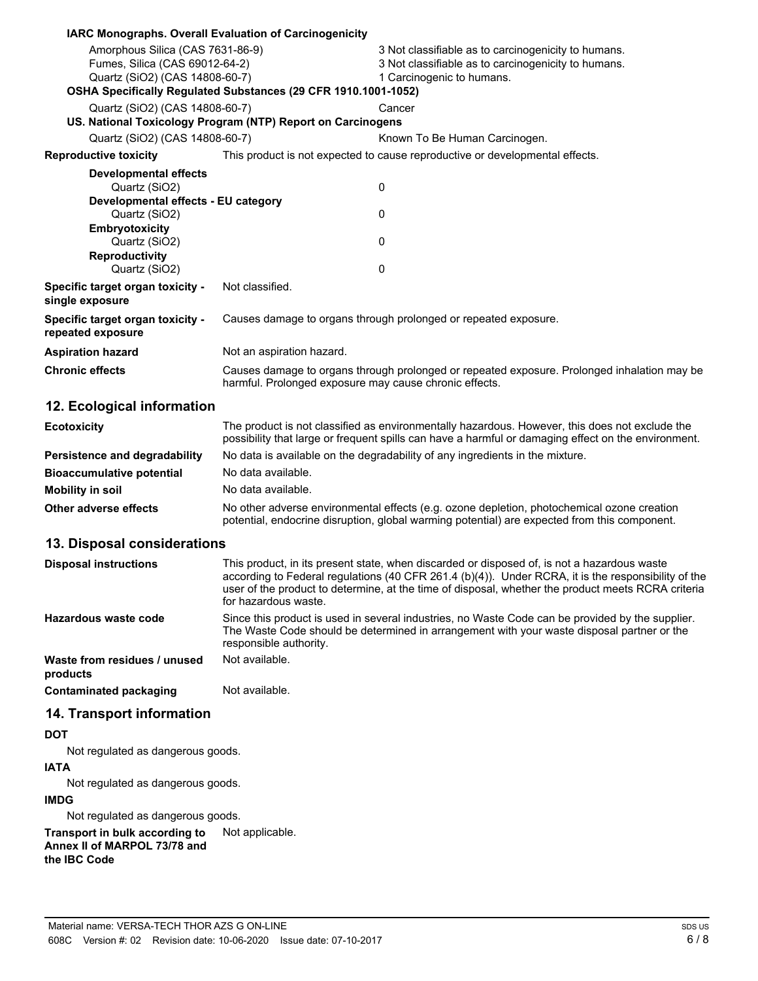| IARC Monographs. Overall Evaluation of Carcinogenicity<br>Amorphous Silica (CAS 7631-86-9)<br>Fumes, Silica (CAS 69012-64-2)<br>Quartz (SiO2) (CAS 14808-60-7)<br>OSHA Specifically Regulated Substances (29 CFR 1910.1001-1052) |                                                                                                                                                                                                                                                                                                                                  | 3 Not classifiable as to carcinogenicity to humans.<br>3 Not classifiable as to carcinogenicity to humans.<br>1 Carcinogenic to humans. |  |
|----------------------------------------------------------------------------------------------------------------------------------------------------------------------------------------------------------------------------------|----------------------------------------------------------------------------------------------------------------------------------------------------------------------------------------------------------------------------------------------------------------------------------------------------------------------------------|-----------------------------------------------------------------------------------------------------------------------------------------|--|
| Quartz (SiO2) (CAS 14808-60-7)                                                                                                                                                                                                   |                                                                                                                                                                                                                                                                                                                                  | Cancer                                                                                                                                  |  |
|                                                                                                                                                                                                                                  | US. National Toxicology Program (NTP) Report on Carcinogens                                                                                                                                                                                                                                                                      |                                                                                                                                         |  |
| Quartz (SiO2) (CAS 14808-60-7)                                                                                                                                                                                                   |                                                                                                                                                                                                                                                                                                                                  | Known To Be Human Carcinogen.                                                                                                           |  |
| <b>Reproductive toxicity</b>                                                                                                                                                                                                     |                                                                                                                                                                                                                                                                                                                                  | This product is not expected to cause reproductive or developmental effects.                                                            |  |
| <b>Developmental effects</b><br>Quartz (SiO2)                                                                                                                                                                                    |                                                                                                                                                                                                                                                                                                                                  | 0                                                                                                                                       |  |
| Developmental effects - EU category<br>Quartz (SiO2)<br>Embryotoxicity                                                                                                                                                           |                                                                                                                                                                                                                                                                                                                                  | 0                                                                                                                                       |  |
| Quartz (SiO2)<br><b>Reproductivity</b>                                                                                                                                                                                           |                                                                                                                                                                                                                                                                                                                                  | 0                                                                                                                                       |  |
| Quartz (SiO2)                                                                                                                                                                                                                    |                                                                                                                                                                                                                                                                                                                                  | 0                                                                                                                                       |  |
| Specific target organ toxicity -<br>single exposure                                                                                                                                                                              | Not classified.                                                                                                                                                                                                                                                                                                                  |                                                                                                                                         |  |
| Specific target organ toxicity -<br>repeated exposure                                                                                                                                                                            |                                                                                                                                                                                                                                                                                                                                  | Causes damage to organs through prolonged or repeated exposure.                                                                         |  |
| <b>Aspiration hazard</b>                                                                                                                                                                                                         | Not an aspiration hazard.                                                                                                                                                                                                                                                                                                        |                                                                                                                                         |  |
| <b>Chronic effects</b>                                                                                                                                                                                                           | Causes damage to organs through prolonged or repeated exposure. Prolonged inhalation may be<br>harmful. Prolonged exposure may cause chronic effects.                                                                                                                                                                            |                                                                                                                                         |  |
| 12. Ecological information                                                                                                                                                                                                       |                                                                                                                                                                                                                                                                                                                                  |                                                                                                                                         |  |
| <b>Ecotoxicity</b>                                                                                                                                                                                                               | The product is not classified as environmentally hazardous. However, this does not exclude the<br>possibility that large or frequent spills can have a harmful or damaging effect on the environment.                                                                                                                            |                                                                                                                                         |  |
| Persistence and degradability                                                                                                                                                                                                    | No data is available on the degradability of any ingredients in the mixture.                                                                                                                                                                                                                                                     |                                                                                                                                         |  |
| <b>Bioaccumulative potential</b>                                                                                                                                                                                                 | No data available.                                                                                                                                                                                                                                                                                                               |                                                                                                                                         |  |
| <b>Mobility in soil</b>                                                                                                                                                                                                          | No data available.                                                                                                                                                                                                                                                                                                               |                                                                                                                                         |  |
| Other adverse effects                                                                                                                                                                                                            | No other adverse environmental effects (e.g. ozone depletion, photochemical ozone creation<br>potential, endocrine disruption, global warming potential) are expected from this component.                                                                                                                                       |                                                                                                                                         |  |
| 13. Disposal considerations                                                                                                                                                                                                      |                                                                                                                                                                                                                                                                                                                                  |                                                                                                                                         |  |
| <b>Disposal instructions</b>                                                                                                                                                                                                     | This product, in its present state, when discarded or disposed of, is not a hazardous waste<br>according to Federal regulations (40 CFR 261.4 (b)(4)). Under RCRA, it is the responsibility of the<br>user of the product to determine, at the time of disposal, whether the product meets RCRA criteria<br>for hazardous waste. |                                                                                                                                         |  |
| Hazardous waste code                                                                                                                                                                                                             | Since this product is used in several industries, no Waste Code can be provided by the supplier.<br>The Waste Code should be determined in arrangement with your waste disposal partner or the<br>responsible authority.                                                                                                         |                                                                                                                                         |  |
| Waste from residues / unused<br>products                                                                                                                                                                                         | Not available.                                                                                                                                                                                                                                                                                                                   |                                                                                                                                         |  |
| <b>Contaminated packaging</b>                                                                                                                                                                                                    | Not available.                                                                                                                                                                                                                                                                                                                   |                                                                                                                                         |  |

## **14. Transport information**

#### **DOT**

Not regulated as dangerous goods.

#### **IATA**

Not regulated as dangerous goods.

### **IMDG**

Not regulated as dangerous goods.

**Transport in bulk according to** Not applicable. **Annex II of MARPOL 73/78 and**

## **the IBC Code**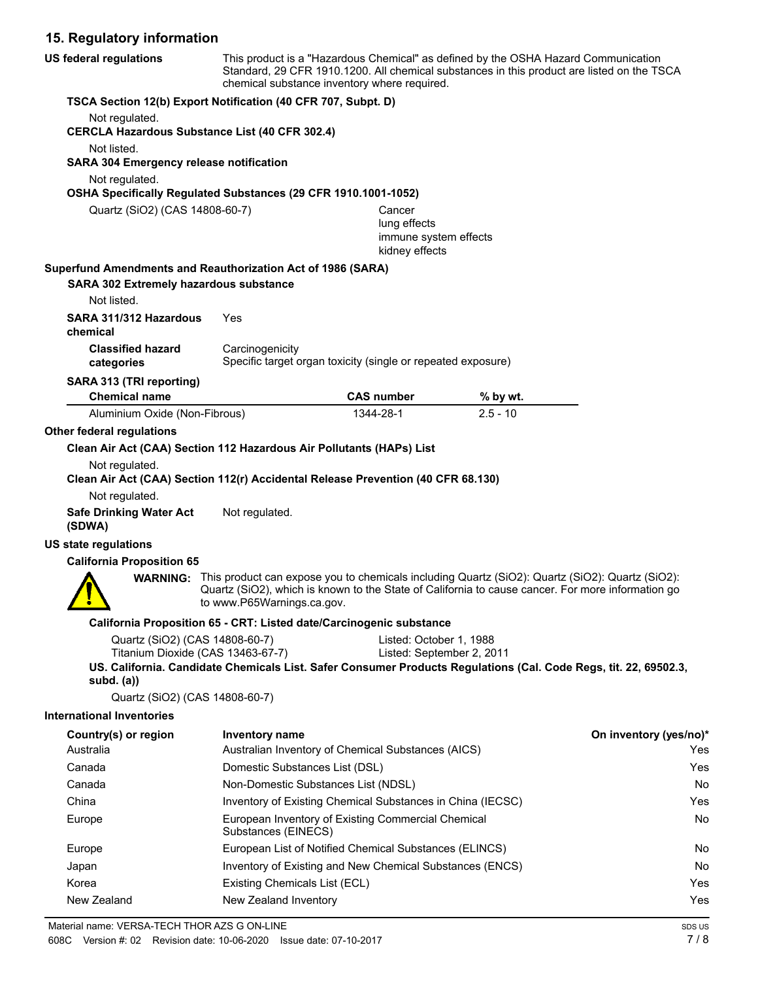# **15. Regulatory information**

| <b>US federal regulations</b>                                                                      |                                     | This product is a "Hazardous Chemical" as defined by the OSHA Hazard Communication<br>Standard, 29 CFR 1910.1200. All chemical substances in this product are listed on the TSCA<br>chemical substance inventory where required. |                                                                                                                                                                                                               |                        |
|----------------------------------------------------------------------------------------------------|-------------------------------------|----------------------------------------------------------------------------------------------------------------------------------------------------------------------------------------------------------------------------------|---------------------------------------------------------------------------------------------------------------------------------------------------------------------------------------------------------------|------------------------|
| TSCA Section 12(b) Export Notification (40 CFR 707, Subpt. D)                                      |                                     |                                                                                                                                                                                                                                  |                                                                                                                                                                                                               |                        |
| Not regulated.<br><b>CERCLA Hazardous Substance List (40 CFR 302.4)</b>                            |                                     |                                                                                                                                                                                                                                  |                                                                                                                                                                                                               |                        |
| Not listed.                                                                                        |                                     |                                                                                                                                                                                                                                  |                                                                                                                                                                                                               |                        |
| <b>SARA 304 Emergency release notification</b>                                                     |                                     |                                                                                                                                                                                                                                  |                                                                                                                                                                                                               |                        |
| Not regulated.                                                                                     |                                     |                                                                                                                                                                                                                                  |                                                                                                                                                                                                               |                        |
| OSHA Specifically Regulated Substances (29 CFR 1910.1001-1052)                                     |                                     |                                                                                                                                                                                                                                  |                                                                                                                                                                                                               |                        |
| Quartz (SiO2) (CAS 14808-60-7)                                                                     |                                     | Cancer<br>lung effects<br>immune system effects<br>kidney effects                                                                                                                                                                |                                                                                                                                                                                                               |                        |
| Superfund Amendments and Reauthorization Act of 1986 (SARA)                                        |                                     |                                                                                                                                                                                                                                  |                                                                                                                                                                                                               |                        |
| SARA 302 Extremely hazardous substance                                                             |                                     |                                                                                                                                                                                                                                  |                                                                                                                                                                                                               |                        |
| Not listed.                                                                                        |                                     |                                                                                                                                                                                                                                  |                                                                                                                                                                                                               |                        |
| SARA 311/312 Hazardous<br>chemical                                                                 | Yes                                 |                                                                                                                                                                                                                                  |                                                                                                                                                                                                               |                        |
| <b>Classified hazard</b><br>categories                                                             | Carcinogenicity                     | Specific target organ toxicity (single or repeated exposure)                                                                                                                                                                     |                                                                                                                                                                                                               |                        |
| SARA 313 (TRI reporting)<br><b>Chemical name</b>                                                   |                                     | <b>CAS number</b>                                                                                                                                                                                                                | % by wt.                                                                                                                                                                                                      |                        |
| Aluminium Oxide (Non-Fibrous)                                                                      |                                     | 1344-28-1                                                                                                                                                                                                                        | $2.5 - 10$                                                                                                                                                                                                    |                        |
| Other federal regulations                                                                          |                                     |                                                                                                                                                                                                                                  |                                                                                                                                                                                                               |                        |
| Clean Air Act (CAA) Section 112 Hazardous Air Pollutants (HAPs) List                               |                                     |                                                                                                                                                                                                                                  |                                                                                                                                                                                                               |                        |
| Not regulated.<br>Clean Air Act (CAA) Section 112(r) Accidental Release Prevention (40 CFR 68.130) |                                     |                                                                                                                                                                                                                                  |                                                                                                                                                                                                               |                        |
| Not regulated.                                                                                     |                                     |                                                                                                                                                                                                                                  |                                                                                                                                                                                                               |                        |
| <b>Safe Drinking Water Act</b><br>(SDWA)                                                           | Not regulated.                      |                                                                                                                                                                                                                                  |                                                                                                                                                                                                               |                        |
| <b>US state regulations</b>                                                                        |                                     |                                                                                                                                                                                                                                  |                                                                                                                                                                                                               |                        |
| <b>California Proposition 65</b>                                                                   |                                     |                                                                                                                                                                                                                                  |                                                                                                                                                                                                               |                        |
|                                                                                                    | to www.P65Warnings.ca.gov.          |                                                                                                                                                                                                                                  | WARNING: This product can expose you to chemicals including Quartz (SiO2): Quartz (SiO2): Quartz (SiO2):<br>Quartz (SiO2), which is known to the State of California to cause cancer. For more information go |                        |
|                                                                                                    |                                     | California Proposition 65 - CRT: Listed date/Carcinogenic substance                                                                                                                                                              |                                                                                                                                                                                                               |                        |
| Quartz (SiO2) (CAS 14808-60-7)                                                                     |                                     | Listed: October 1, 1988                                                                                                                                                                                                          |                                                                                                                                                                                                               |                        |
| Titanium Dioxide (CAS 13463-67-7)<br>subd. $(a)$                                                   |                                     | Listed: September 2, 2011                                                                                                                                                                                                        | US. California. Candidate Chemicals List. Safer Consumer Products Regulations (Cal. Code Regs, tit. 22, 69502.3,                                                                                              |                        |
| Quartz (SiO2) (CAS 14808-60-7)                                                                     |                                     |                                                                                                                                                                                                                                  |                                                                                                                                                                                                               |                        |
| <b>International Inventories</b>                                                                   |                                     |                                                                                                                                                                                                                                  |                                                                                                                                                                                                               |                        |
| Country(s) or region                                                                               | Inventory name                      |                                                                                                                                                                                                                                  |                                                                                                                                                                                                               | On inventory (yes/no)* |
| Australia                                                                                          |                                     | Australian Inventory of Chemical Substances (AICS)                                                                                                                                                                               |                                                                                                                                                                                                               | Yes                    |
| Canada                                                                                             | Domestic Substances List (DSL)      |                                                                                                                                                                                                                                  |                                                                                                                                                                                                               | Yes                    |
| Canada<br>China                                                                                    | Non-Domestic Substances List (NDSL) |                                                                                                                                                                                                                                  |                                                                                                                                                                                                               | No<br>Yes              |
|                                                                                                    |                                     | Inventory of Existing Chemical Substances in China (IECSC)                                                                                                                                                                       |                                                                                                                                                                                                               |                        |
| Europe                                                                                             | Substances (EINECS)                 | European Inventory of Existing Commercial Chemical                                                                                                                                                                               |                                                                                                                                                                                                               | No                     |
| Europe                                                                                             |                                     | European List of Notified Chemical Substances (ELINCS)                                                                                                                                                                           |                                                                                                                                                                                                               | No                     |
| Japan                                                                                              |                                     | Inventory of Existing and New Chemical Substances (ENCS)                                                                                                                                                                         |                                                                                                                                                                                                               | No                     |
| Korea                                                                                              | Existing Chemicals List (ECL)       |                                                                                                                                                                                                                                  |                                                                                                                                                                                                               | Yes                    |
| New Zealand                                                                                        | New Zealand Inventory               |                                                                                                                                                                                                                                  |                                                                                                                                                                                                               | Yes                    |